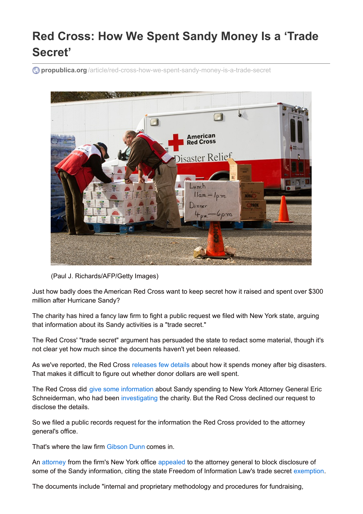## **Red Cross: How We Spent Sandy Money Is a 'Trade Secret'**

**propublica.org** [/article/red-cross-how-we-spent-sandy-money-is-a-trade-secret](http://www.propublica.org/article/red-cross-how-we-spent-sandy-money-is-a-trade-secret)



(Paul J. Richards/AFP/Getty Images)

Just how badly does the American Red Cross want to keep secret how it raised and spent over \$300 million after Hurricane Sandy?

The charity has hired a fancy law firm to fight a public request we filed with New York state, arguing that information about its Sandy activities is a "trade secret."

The Red Cross' "trade secret" argument has persuaded the state to redact some material, though it's not clear yet how much since the documents haven't yet been released.

As we've reported, the Red Cross [releases](http://www.propublica.org/article/long-after-sandy-red-cross-post-storm-spending-still-a-black-box) few details about how it spends money after big disasters. That makes it difficult to figure out whether donor dollars are well spent.

The Red Cross did give some [information](https://www.propublica.org/article/ny-attorney-general-pressed-red-cross-on-post-sandy-spending-then-retreated) about Sandy spending to New York Attorney General Eric Schneiderman, who had been [investigating](http://www.propublica.org/documents/item/1158817-140088-responsive-docs-pgs-21-45#document/p14) the charity. But the Red Cross declined our request to disclose the details.

So we filed a public records request for the information the Red Cross provided to the attorney general's office.

That's where the law firm [Gibson](http://www.gibsondunn.com/default.aspx) Dunn comes in.

An [attorney](http://www.gibsondunn.com/Lawyers/glevin) from the firm's New York office [appealed](http://www.propublica.org/documents/item/1204491-89-5-determination-lt-to-gibson-dunn-requestor) to the attorney general to block disclosure of some of the Sandy information, citing the state Freedom of Information Law's trade secret [exemption](http://www.dos.ny.gov/coog/foil2.html).

The documents include "internal and proprietary methodology and procedures for fundraising,